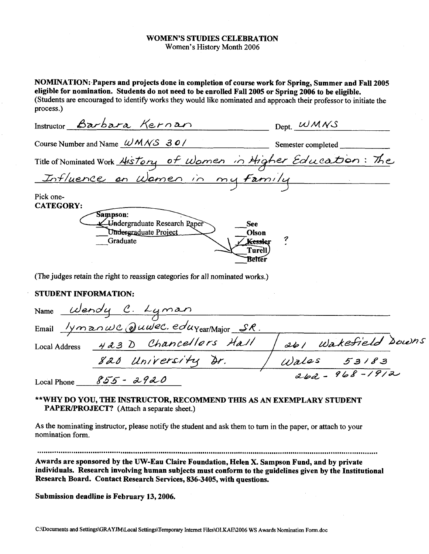#### WOMEN'S STUDIES CELEBRATION Women's History Month 2006

NOMINATION:.Papers and projects done in completion of course work for Spring, Summer and Fall 2005 eligible for nomination. Students do not need to be enrolled Fall 2005 or Spring 2006 to be eligible. (Students are encouraged to identify works they would like nominated and approach their professor to initiate the process.)

|                               | Instructor Barbara Kernan                                                                          | $Dept.$ WMNS                                                      |  |
|-------------------------------|----------------------------------------------------------------------------------------------------|-------------------------------------------------------------------|--|
|                               | Course Number and Name $\omega$ M $\sqrt{S}$ 30/                                                   | Semester completed                                                |  |
|                               |                                                                                                    | Title of Nominated Work History of Women in Higher Education: The |  |
|                               | Influence on Wamen in my Family                                                                    |                                                                   |  |
| Pick one-<br><b>CATEGORY:</b> | <b>Sampson:</b><br><del>V</del> -Undergraduate Research Raper<br>Undergraduate Project<br>Graduate | See<br>Olson<br><b>Kessler</b><br><b>Turell</b><br>Belter         |  |
|                               | (The judges retain the right to reassign categories for all nominated works.)                      |                                                                   |  |
| <b>STUDENT INFORMATION:</b>   |                                                                                                    |                                                                   |  |
|                               | Name Wendy C. Lyman<br>Email <i>lymanwc Quulec. edu</i> Year/Major SR.                             |                                                                   |  |
|                               | Local Address 423 D Chancellors Hall                                                               | 261 Wakefield Downs                                               |  |
|                               | 820 University Dr.                                                                                 | Wales 53183                                                       |  |
|                               | $\alpha \sim$ $\alpha$ $\alpha$ $\alpha$                                                           | $262 - 968 - 1912$                                                |  |

Local Phone  $855 - 2920$ 

#### \*\*WHY DO YOU, THE INSTRUCTOR, RECOMMEND THIS AS AN EXEMPLARY STUDENT PAPER/PROJECT? (Attach a separate sheet.)

As the nominating instructor, please notify the student and ask them to turn in the paper, or attach to your nomination form.

.................................................................................................................................................................

Awards are sponsored by the UW-Eau Claire Foundation, Helen X. Sampson Fund, and by private individuals. Research involving human subjects must conform to the guidelines given by the Institutional Research Board. Contact Research Services, 836-3405, with questions.

Submission deadline is February 13,2006.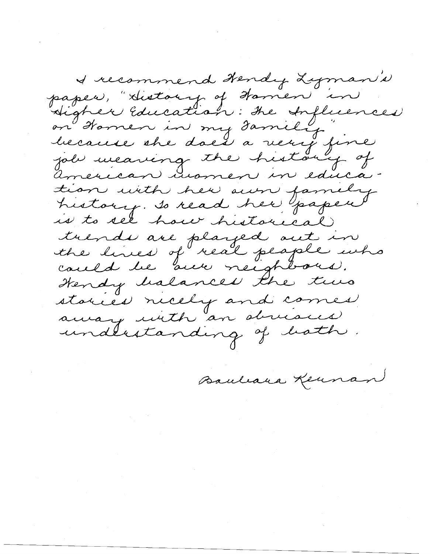I recommend Hendy Lyman N paper, "History of Hamen in Higher Education: the Influences<br>on Homen in my Family<br>because the does a very fine<br>job weaving the history of américan uramen in education with her own family history. Is read her yapen trends are played out in the lines of real people who cauld be are neighbour. Hendy halances the two stories ricely and comes away with an obvioces undlestanding of bath.

Bauleara Kennan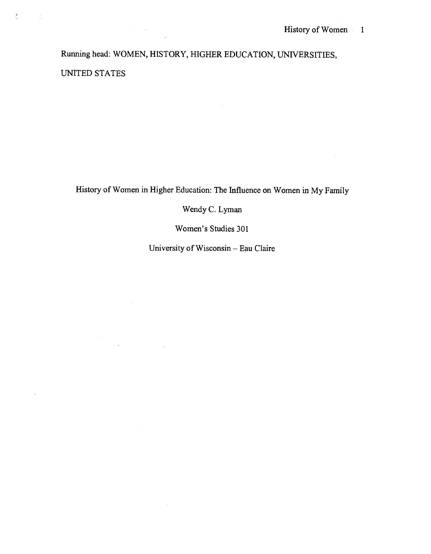Running head: WOMEN, HISTORY, HIGHER EDUCATION, UNIVERSITIES,

UNITED STATES

 $\label{eq:2} \frac{1}{\sqrt{2}}\sum_{i=1}^n\frac{1}{\sqrt{2\pi}}\int_0^1\frac{1}{\sqrt{2\pi}}\left(\frac{1}{\sqrt{2\pi}}\right)^2\frac{1}{\sqrt{2\pi}}\int_0^1\frac{1}{\sqrt{2\pi}}\left(\frac{1}{\sqrt{2\pi}}\right)^2\frac{1}{\sqrt{2\pi}}\frac{1}{\sqrt{2\pi}}\frac{1}{\sqrt{2\pi}}\frac{1}{\sqrt{2\pi}}\frac{1}{\sqrt{2\pi}}\frac{1}{\sqrt{2\pi}}\frac{1}{\sqrt{2\pi}}\frac{1}{\sqrt{2\pi}}\frac$ 

 $\mathcal{A}$ 

 $\mathcal{L}^{\text{max}}_{\text{max}}$ 

 $\overline{\phantom{a}}$ 

 $\tilde{\mathcal{E}}$ 

 $\mathcal{F} \subset \mathcal{F}$ 

History of Women in Higher Education: The Influence on Women in My Family

Wendy C. Lyman

Women's Studies 301

University of Wisconsin - Eau Claire

 $\bar{L}$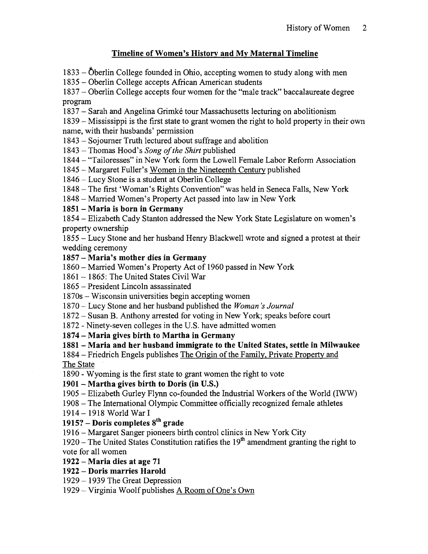## **Timeline of Women's Historv and My Maternal Timeline**

 $1833 - \ddot{\text{O}}$ berlin College founded in Ohio, accepting women to study along with men

- Oberlin College accepts African American students

- Oberlin College accepts four women for the "male track" baccalaureate degree program

1837 – Sarah and Angelina Grimké tour Massachusetts lecturing on abolitionism

- Mississippi isthe first state to grant women the right to hold property in their own name, with their husbands' permission

- Sojourner Truth lectured about suffrage and abolition

- Thomas Hood's *Song of the Shirt* published

1844 - "Tailoresses" in New York form the Lowell Female Labor Reform Association

- Margaret Fuller's Women in the Nineteenth Century published

- Lucy Stone is a student at Oberlin College

- The first 'Woman's Rights Convention" was held in Seneca Falls, New York

- Married Women's Property Act passed into law in New York

## - **Maria is born in Germany**

- Elizabeth Cady Stanton addressed the New York State Legislature on women's property ownership

- Lucy Stone and her husband Henry Blackwell wrote and signed a protest at their wedding ceremony

## - **Maria's mother dies in Germany**

- Married Women's Property Act of 1960 passed in New York

 $1861 - 1865$ : The United States Civil War

- President Lincoln assassinated

1870s - Wisconsin universities begin accepting women

- Lucy Stone and her husband published the *Woman* **'s** *Journal* 

- Susan B. Anthony arrested for voting in New York; speaks before court

- Ninety-seven colleges in the U.S. have admitted women

- **Maria gives birth to Martha in Germany** 

## - **Maria and her husband immigrate to the United States, settle in Milwaukee**

1884 – Friedrich Engels publishes The Origin of the Family, Private Property and The State

- Wyoming is the first state to grant women the right to vote

# - **Martha gives birth to Doris (in U.S.)**

- Elizabeth Gurley Flynn co-founded the Industrial Workers of the World (IWW)

- The International Olympic Committee officially recognized female athletes

- 1918 World War I

# **1915?** - **Doris completes sth grade**

- Margaret Sanger pioneers birth control clinics in New York City

1920 – The United States Constitution ratifies the  $19<sup>th</sup>$  amendment granting the right to vote for all women

- **Maria dies at age 71** 

- **Doris marries Harold** 

- 1939 The Great Depression

- Virginia Woolf publishes A Room of One's Own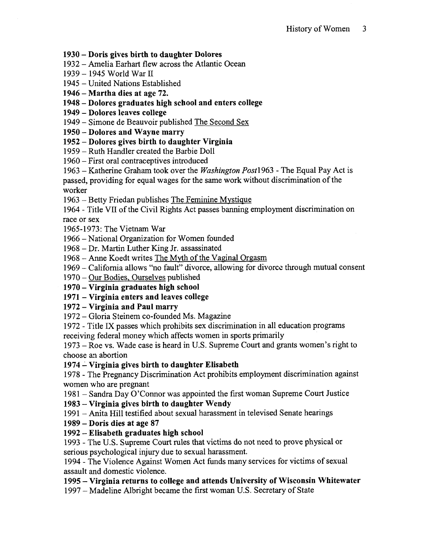#### - **Doris gives birth to daughter Dolores**

- Amelia Earhart flew across the Atlantic Ocean
- *1945* World War II
- United Nations Established
- **Martha dies at age 72.**
- **Dolores graduates high school and enters college**
- **Dolores leaves college**
- Simone de Beauvoir published The Second Sex
- **Dolores and Wayne marry**
- **Dolores gives birth to daughter Virginia**
- Ruth Handler created the Barbie Doll
- First oral contraceptives introduced
- Katherine Graham took over the *Washington Post1 963*  The Equal Pay Act is
- passed, providing for equal wages for the same work without discrimination of the worker
- Betty Friedan publishes The Feminine Mystique
- Title VII of the Civil Rights Act passes banning employment discrimination on race or sex
- *1965-1973:* The Vietnam War
- National Organization for Women founded
- Dr. Martin Luther King Jr. assassinated
- Anne Koedt writes The Mvth of the Vaginal Orgasm
- California allows "no fault" divorce, allowing for divorcc through mutual consent
- Our Bodies. Ourselves published
- **Virginia graduates high school**
- **Virginia enters and leaves college**
- **Virginia and Paul marry**
- Gloria Steinem co-founded Ms. Magazine
- Title IX passes which prohibits sex discrimination in all education programs receiving federal money which affects women in sports primarily
- Roe vs. Wade case is heard in U.S. Supreme Court and grants women's right to choose **21** abortion
- **Virginia gives birth to daughter Elisabeth**
- The Pregnancy Discrimination Act prohibits employment discrimination against women who are pregnant
- Sandra Day O'Connor was appointed the first woman Supreme Court Justice
- **Virginia gives birth to daughter Wendy**
- Anita Hill testified about sexual harassment in televised Senate hearings
- **Doris dies at age 87**
- **Elisabeth graduates high school**
- The U.S. Supreme Court rules that victims do not need to prove physical or serious psychological injury due to sexual harassment.
- The Violence Against Women Act funds many services for victims of sexual assault and domestic violence.
- **Virginia returns to college and attends University of Wisconsin Whitewater**
- Madeline Albright became the first woman U.S. Secretary of State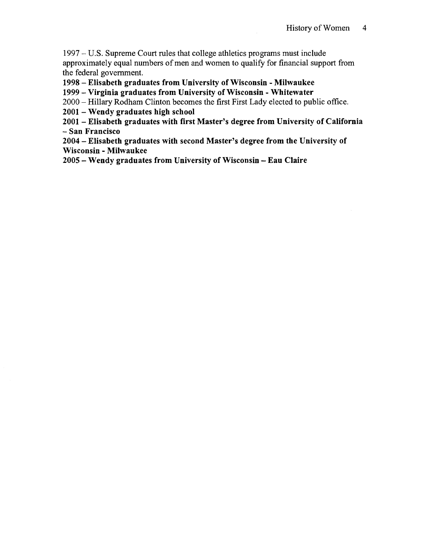- U.S. Supreme Court rules that college athletics programs must include approximately equal numbers of men and women to qualify for financial support from the federal government.

- Elisabeth graduates from University of Wisconsin - Milwaukee

- Virginia graduates from University of Wisconsin - Whitewater

- Hillary Rodham Clinton becomes the first First Lady elected to public office.

- Wendy graduates high school

- Elisabeth graduates with first Master's degree from University of California - San Francisco

- Elisabeth graduates with second Master's degree from the University of Wisconsin - Milwaukee

- Wendy graduates from University of Wisconsin - Eau Claire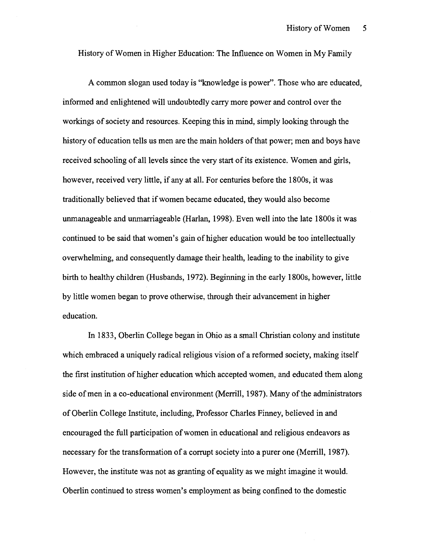History of Women in Higher Education: The Influence on Women in My Family

**A** common slogan used today is "knowledge is power". Those who are educated, informed and enlightened will undoubtedly carry more power and control over the workings of society and resources. Keeping this in mind, simply looking through the history of education tells us men are the main holders of that power; men and boys have received schooling of all levels since the very start of its existence. Women and girls, however, received very little, if any at all. For centuries before the 1800s, it was traditionally believed that if women became educated, they would also become unmanageable and unmarriageable (Harlan, 1998). Even well into the late 1800s it was continued to be said that women's gain of higher education would be too intellectually overwhelming, and consequently damage their health, leading to the inability to give birth to healthy children (Husbands, 1972). Beginning in the early 1800s, however, little by little women began to prove otherwise, through their advancement in higher education.

In 1833, Oberlin College began in Ohio as a small Christian colony and institute which embraced a uniquely radical religious vision of a reformed society, making itself the first institution of higher education which accepted women, and educated them along side of men in a co-educational environment (Merrill, 1987). Many of the administrators of Oberlin College Institute, including, Professor Charles Finney, believed in and encouraged the full participation of women in educational and religious endeavors as necessary for the transformation of a corrupt society into a purer one (Merrill, 1987). However, the institute was not as granting of equality as we might imagine it would. Oberlin continued to stress women's employment as being confined to the domestic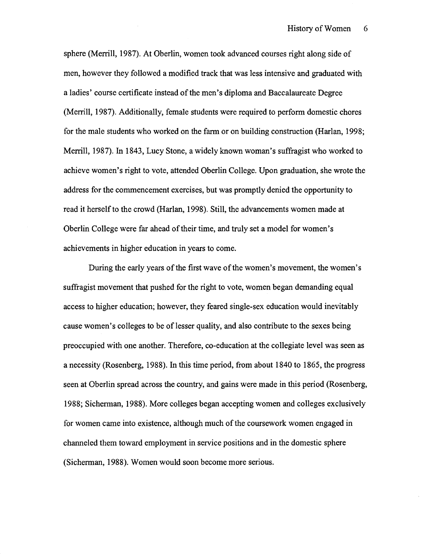sphere (Merrill, 1987). At Oberlin, women took advanced courses right along side of men, however they followed a modified track that was less intensive and graduated with a ladies' course certificate instead of the men's diploma and Baccalaureate Degree (Merrill, 1987). Additionally, female students were required to perform domestic chores for the male students who worked on the farm or on building construction (Harlan, 1998; Merrill, 1987). In 1843, Lucy Stone, a widely known woman's suffragist who worked to achieve women's right to vote, attended Oberlin College. Upon graduation, she wrote the address for the commencement exercises, but was promptly denied the opportunity to read it herself to the crowd (Harlan, 1998). Still, the advancements women made at Oberlin College were far ahead of their time, and truly set a model for women's achievements in higher education in years to come.

During the early years of the first wave of the women's movement, the women's suffragist movement that pushed for the right to vote, women began demanding equal access to higher education; however, they feared single-sex education would inevitably cause women's colleges to be of lesser quality, and also contribute to the sexes being preoccupied with one another. Therefore, co-education at the collegiate level was seen as a necessity (Rosenberg, 1988). In this time period, from about 1840 to 1865, the progress seen at Oberlin spread across the country, and gains were made in this period (Rosenberg, 1988; Sicherman, 1988). More colleges began accepting women and colleges exclusively for women came into existence, although much of the coursework women engaged in channeled them toward employment in service positions and in the domestic sphere (Sicherman, 1988). Women would soon become more serious.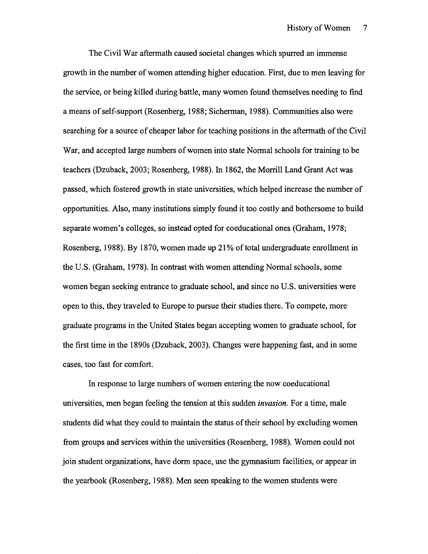The Civil War aftermath caused societal changes which spurred an immense growth in the number of women attending higher education. First, due to men leaving for the service, or being killed during battle, many women found themselves needing to find a means of self-support (Rosenberg, 1988; Sicherman, 1988). Communities also were searching for a source of cheaper labor for teaching positions in the aftermath of the Civil War, and accepted large numbers of women into state Normal schools for training to be teachers (Dzuback, 2003; Rosenberg, 1988). In 1862, the Morrill Land Grant Act was passed, which fostered growth in state universities, which helped increase the number of opportunities. Also, many institutions simply found it too costly and bothersome to build separate women's colleges, so instead opted for coeducational ones (Graham, 1978; Rosenberg, 1988). By 1870, women made up 21% of total undergraduate enrollment in the U.S. (Graham, 1978). In contrast with women attending Normal schools, some women began seeking entrance to graduate school, and since no U.S. universities were open to this, they traveled to Europe to pursue their studies there. To compete, more graduate programs in the United States began accepting women to graduate school, for the first time in the 1890s (Dzuback, 2003). Changes were happening fast, and in some cases, too fast for comfort.

In response to large numbers of women entering the now coeducational universities, men began feeling the tension at this sudden *invasion.* For a time, male students did what they could to maintain the status of their school by excluding women from groups and services within the universities (Rosenberg, 1988). Women could not join student organizations, have dorm space, use the gymnasium facilities, or appear in the yearbook (Rosenberg, 1988). Men seen speaking to the women students were